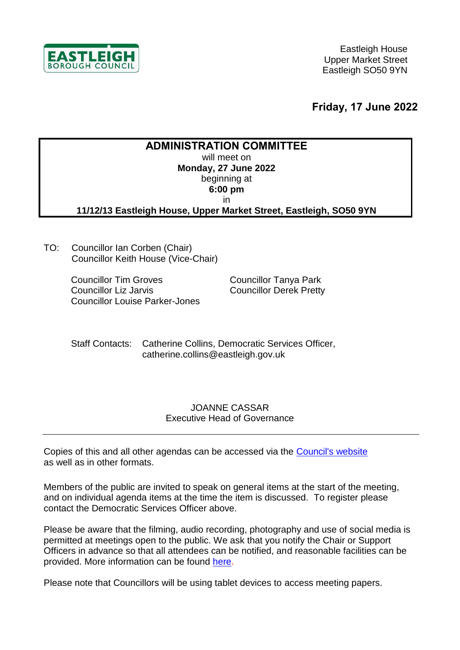

**Friday, 17 June 2022**

## **ADMINISTRATION COMMITTEE**

will meet on **Monday, 27 June 2022** beginning at

> **6:00 pm** in

**11/12/13 Eastleigh House, Upper Market Street, Eastleigh, SO50 9YN**

TO: Councillor Ian Corben (Chair) Councillor Keith House (Vice-Chair)

> Councillor Tim Groves Councillor Liz Jarvis Councillor Louise Parker-Jones

Councillor Tanya Park Councillor Derek Pretty

Staff Contacts: Catherine Collins, Democratic Services Officer, catherine.collins@eastleigh.gov.uk

#### JOANNE CASSAR Executive Head of Governance

Copies of this and all other agendas can be accessed via the [Council's website](https://meetings.eastleigh.gov.uk/) as well as in other formats.

Members of the public are invited to speak on general items at the start of the meeting, and on individual agenda items at the time the item is discussed. To register please contact the Democratic Services Officer above.

Please be aware that the filming, audio recording, photography and use of social media is permitted at meetings open to the public. We ask that you notify the Chair or Support Officers in advance so that all attendees can be notified, and reasonable facilities can be provided. More information can be found [here.](https://www.eastleigh.gov.uk/media/11419/recording-photography-and-filming-of-ebc-meetings-final.pdf)

Please note that Councillors will be using tablet devices to access meeting papers.